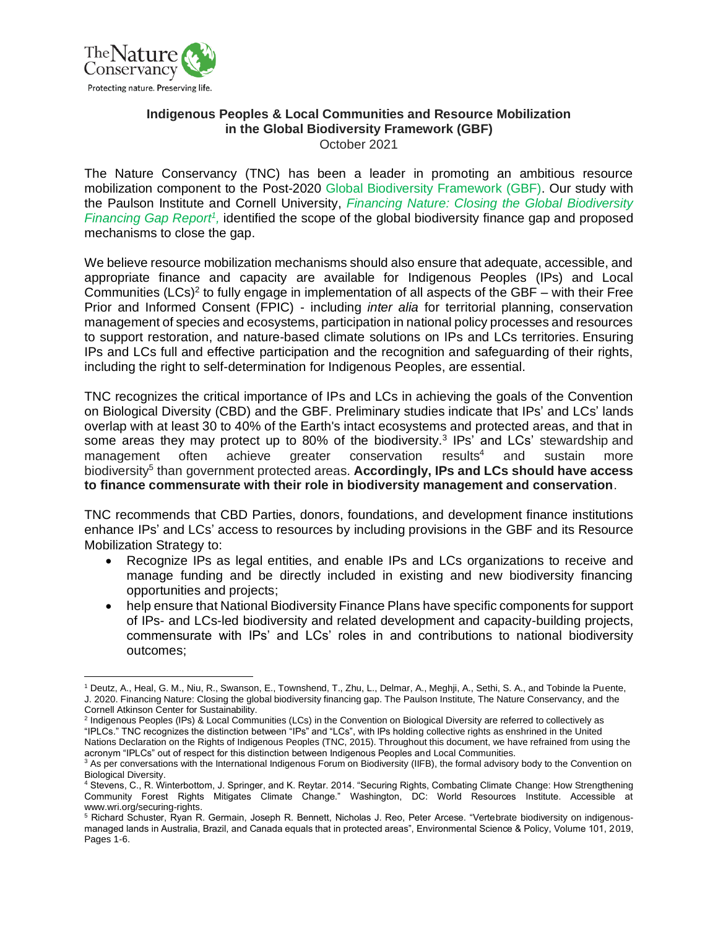

## **Indigenous Peoples & Local Communities and Resource Mobilization in the Global Biodiversity Framework (GBF)** October 2021

The Nature Conservancy (TNC) has been a leader in promoting an ambitious resource mobilization component to the Post-2020 Global Biodiversity Framework (GBF). Our study with the Paulson Institute and Cornell University, *[Financing Nature: Closing the Global Biodiversity](https://www.nature.org/content/dam/tnc/nature/en/documents/FINANCINGNATURE_FullReport_091520.pdf)  [Financing Gap Report](https://www.nature.org/content/dam/tnc/nature/en/documents/FINANCINGNATURE_FullReport_091520.pdf)<sup>1</sup>*, identified the scope of the global biodiversity finance gap and proposed mechanisms to close the gap.

We believe resource mobilization mechanisms should also ensure that adequate, accessible, and appropriate finance and capacity are available for Indigenous Peoples (IPs) and Local Communities (LCs)<sup>2</sup> to fully engage in implementation of all aspects of the GBF – with their Free Prior and Informed Consent (FPIC) - including *inter alia* for territorial planning, conservation management of species and ecosystems, participation in national policy processes and resources to support restoration, and nature-based climate solutions on IPs and LCs territories. Ensuring IPs and LCs full and effective participation and the recognition and safeguarding of their rights, including the right to self-determination for Indigenous Peoples, are essential.

TNC recognizes the critical importance of IPs and LCs in achieving the goals of the Convention on Biological Diversity (CBD) and the GBF. Preliminary studies indicate that IPs' and LCs' lands overlap with at least 30 to 40% of the Earth's intact ecosystems and protected areas, and that in some areas they may protect up to 80% of the biodiversity.<sup>3</sup> IPs' and LCs' stewardship and management often achieve greater conservation results<sup>4</sup> and sustain more biodiversity<sup>5</sup> than government protected areas. Accordingly, IPs and LCs should have access **to finance commensurate with their role in biodiversity management and conservation**.

TNC recommends that CBD Parties, donors, foundations, and development finance institutions enhance IPs' and LCs' access to resources by including provisions in the GBF and its Resource Mobilization Strategy to:

- Recognize IPs as legal entities, and enable IPs and LCs organizations to receive and manage funding and be directly included in existing and new biodiversity financing opportunities and projects;
- help ensure that National Biodiversity Finance Plans have specific components for support of IPs- and LCs-led biodiversity and related development and capacity-building projects, commensurate with IPs' and LCs' roles in and contributions to national biodiversity outcomes;

<sup>1</sup> Deutz, A., Heal, G. M., Niu, R., Swanson, E., Townshend, T., Zhu, L., Delmar, A., Meghji, A., Sethi, S. A., and Tobinde la Puente, J. 2020. Financing Nature: Closing the global biodiversity financing gap. The Paulson Institute, The Nature Conservancy, and the Cornell Atkinson Center for Sustainability.

<sup>&</sup>lt;sup>2</sup> Indigenous Peoples (IPs) & Local Communities (LCs) in the Convention on Biological Diversity are referred to collectively as "IPLCs." TNC recognizes the distinction between "IPs" and "LCs", with IPs holding collective rights as enshrined in the United Nations Declaration on the Rights of Indigenous Peoples (TNC, 2015). Throughout this document, we have refrained from using the acronym "IPLCs" out of respect for this distinction between Indigenous Peoples and Local Communities.

<sup>&</sup>lt;sup>3</sup> As per conversations with the International Indigenous Forum on Biodiversity (IIFB), the formal advisory body to the Convention on Biological Diversity.

<sup>4</sup> Stevens, C., R. Winterbottom, J. Springer, and K. Reytar. 2014. "Securing Rights, Combating Climate Change: How Strengthening Community Forest Rights Mitigates Climate Change." Washington, DC: World Resources Institute. Accessible at www.wri.org/securing-rights.

<sup>5</sup> Richard Schuster, Ryan R. Germain, Joseph R. Bennett, Nicholas J. Reo, Peter Arcese. "Vertebrate biodiversity on indigenousmanaged lands in Australia, Brazil, and Canada equals that in protected areas", Environmental Science & Policy, Volume 101, 2019, Pages 1-6.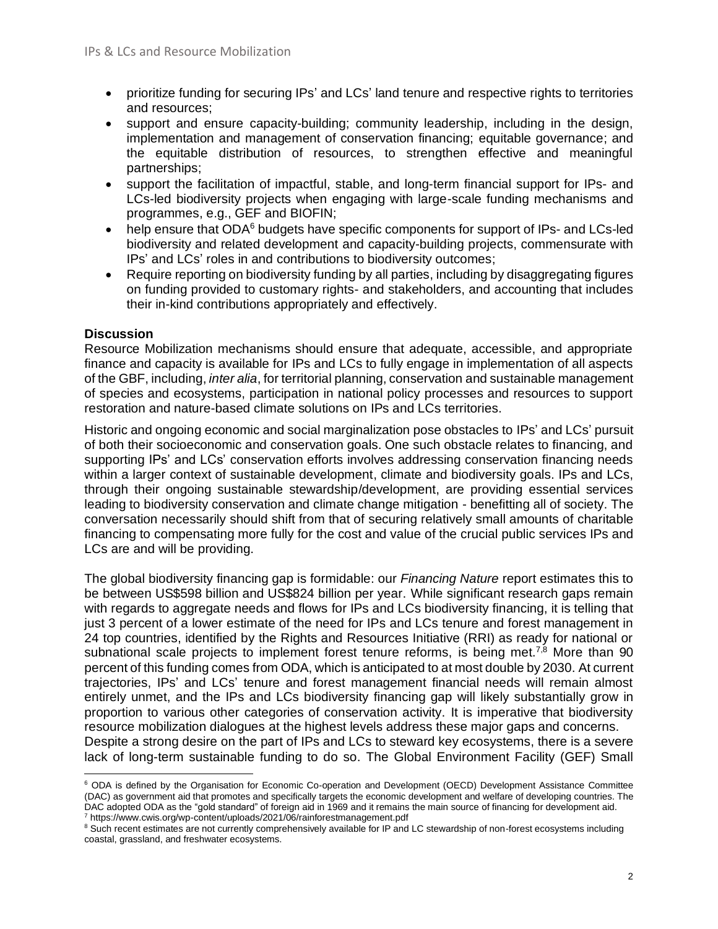- prioritize funding for securing IPs' and LCs' land tenure and respective rights to territories and resources;
- support and ensure capacity-building; community leadership, including in the design, implementation and management of conservation financing; equitable governance; and the equitable distribution of resources, to strengthen effective and meaningful partnerships;
- support the facilitation of impactful, stable, and long-term financial support for IPs- and LCs-led biodiversity projects when engaging with large-scale funding mechanisms and programmes, e.g., GEF and BIOFIN;
- help ensure that ODA<sup>6</sup> budgets have specific components for support of IPs- and LCs-led biodiversity and related development and capacity-building projects, commensurate with IPs' and LCs' roles in and contributions to biodiversity outcomes;
- Require reporting on biodiversity funding by all parties, including by disaggregating figures on funding provided to customary rights- and stakeholders, and accounting that includes their in-kind contributions appropriately and effectively.

## **Discussion**

Resource Mobilization mechanisms should ensure that adequate, accessible, and appropriate finance and capacity is available for IPs and LCs to fully engage in implementation of all aspects of the GBF, including, *inter alia*, for territorial planning, conservation and sustainable management of species and ecosystems, participation in national policy processes and resources to support restoration and nature-based climate solutions on IPs and LCs territories.

Historic and ongoing economic and social marginalization pose obstacles to IPs' and LCs' pursuit of both their socioeconomic and conservation goals. One such obstacle relates to financing, and supporting IPs' and LCs' conservation efforts involves addressing conservation financing needs within a larger context of sustainable development, climate and biodiversity goals. IPs and LCs, through their ongoing sustainable stewardship/development, are providing essential services leading to biodiversity conservation and climate change mitigation - benefitting all of society. The conversation necessarily should shift from that of securing relatively small amounts of charitable financing to compensating more fully for the cost and value of the crucial public services IPs and LCs are and will be providing.

The global biodiversity financing gap is formidable: our *Financing Nature* report estimates this to be between US\$598 billion and US\$824 billion per year. While significant research gaps remain with regards to aggregate needs and flows for IPs and LCs biodiversity financing, it is telling that just 3 percent of a lower estimate of the need for IPs and LCs tenure and forest management in 24 top countries, identified by the Rights and Resources Initiative (RRI) as ready for national or subnational scale projects to implement forest tenure reforms, is being met.<sup>7,8</sup> More than 90 percent of this funding comes from ODA, which is anticipated to at most double by 2030. At current trajectories, IPs' and LCs' tenure and forest management financial needs will remain almost entirely unmet, and the IPs and LCs biodiversity financing gap will likely substantially grow in proportion to various other categories of conservation activity. It is imperative that biodiversity resource mobilization dialogues at the highest levels address these major gaps and concerns. Despite a strong desire on the part of IPs and LCs to steward key ecosystems, there is a severe lack of long-term sustainable funding to do so. The Global Environment Facility (GEF) Small

<sup>&</sup>lt;sup>6</sup> ODA is defined by the Organisation for Economic Co-operation and Development (OECD) Development Assistance Committee (DAC) as government aid that promotes and specifically targets the economic development and welfare of developing countries. The DAC adopted ODA as the "gold standard" of foreign aid in 1969 and it remains the main source of financing for development aid. <sup>7</sup> https://www.cwis.org/wp-content/uploads/2021/06/rainforestmanagement.pdf

<sup>&</sup>lt;sup>8</sup> Such recent estimates are not currently comprehensively available for IP and LC stewardship of non-forest ecosystems including coastal, grassland, and freshwater ecosystems.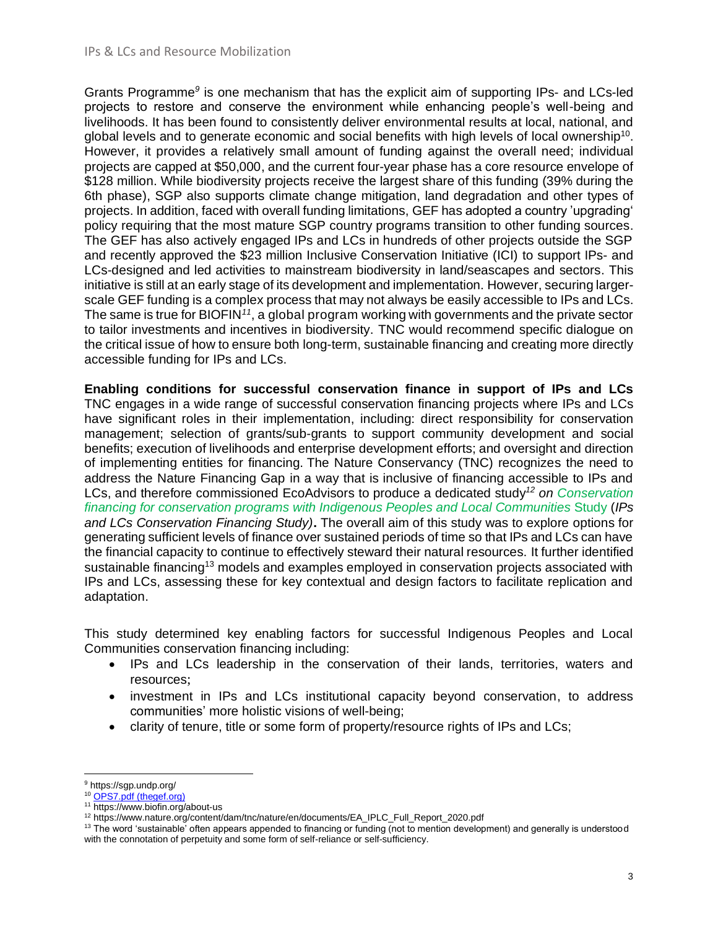Grants Programme<sup>9</sup> is one mechanism that has the explicit aim of supporting IPs- and LCs-led projects to restore and conserve the environment while enhancing people's well-being and livelihoods. It has been found to consistently deliver environmental results at local, national, and global levels and to generate economic and social benefits with high levels of local ownership<sup>10</sup>. However, it provides a relatively small amount of funding against the overall need; individual projects are capped at \$50,000, and the current four-year phase has a core resource envelope of \$128 million. While biodiversity projects receive the largest share of this funding (39% during the 6th phase), SGP also supports climate change mitigation, land degradation and other types of projects. In addition, faced with overall funding limitations, GEF has adopted a country 'upgrading' policy requiring that the most mature SGP country programs transition to other funding sources. The GEF has also actively engaged IPs and LCs in hundreds of other projects outside the SGP and recently approved the \$23 million Inclusive Conservation Initiative (ICI) to support IPs- and LCs-designed and led activities to mainstream biodiversity in land/seascapes and sectors. This initiative is still at an early stage of its development and implementation. However, securing largerscale GEF funding is a complex process that may not always be easily accessible to IPs and LCs. The same is true for BIOFIN<sup>11</sup>, a global program working with governments and the private sector to tailor investments and incentives in biodiversity. TNC would recommend specific dialogue on the critical issue of how to ensure both long-term, sustainable financing and creating more directly accessible funding for IPs and LCs.

**Enabling conditions for successful conservation finance in support of IPs and LCs**  TNC engages in a wide range of successful conservation financing projects where IPs and LCs have significant roles in their implementation, including: direct responsibility for conservation management; selection of grants/sub-grants to support community development and social benefits; execution of livelihoods and enterprise development efforts; and oversight and direction of implementing entities for financing. The Nature Conservancy (TNC) recognizes the need to address the Nature Financing Gap in a way that is inclusive of financing accessible to IPs and LCs, and therefore commissioned EcoAdvisors to produce a dedicated study*<sup>12</sup> on [Conservation](https://www.nature.org/content/dam/tnc/nature/en/documents/EA_IPLC_Full_Report_2020.pdf) financing for conservation programs with Indigenous Peoples and Local [Communities](https://www.nature.org/content/dam/tnc/nature/en/documents/EA_IPLC_Full_Report_2020.pdf)* Study (*IPs and LCs Conservation Financing Study)***.** The overall aim of this study was to explore options for generating sufficient levels of finance over sustained periods of time so that IPs and LCs can have the financial capacity to continue to effectively steward their natural resources. It further identified sustainable financing<sup>13</sup> models and examples employed in conservation projects associated with IPs and LCs, assessing these for key contextual and design factors to facilitate replication and adaptation.

This study determined key enabling factors for successful Indigenous Peoples and Local Communities conservation financing including:

- IPs and LCs leadership in the conservation of their lands, territories, waters and resources;
- investment in IPs and LCs institutional capacity beyond conservation, to address communities' more holistic visions of well-being;
- clarity of tenure, title or some form of property/resource rights of IPs and LCs;

<sup>9</sup> https://sgp.undp.org/

<sup>&</sup>lt;sup>10</sup> [OPS7.pdf \(thegef.org\)](https://www.thegef.org/sites/default/files/council-meeting-documents/OPS7.pdf)

<sup>&</sup>lt;sup>11</sup> https://www.biofin.org/about-us

<sup>&</sup>lt;sup>12</sup> https://www.nature.org/content/dam/tnc/nature/en/documents/EA\_IPLC\_Full\_Report\_2020.pdf

 $13$  The word 'sustainable' often appears appended to financing or funding (not to mention development) and generally is understood with the connotation of perpetuity and some form of self-reliance or self-sufficiency.